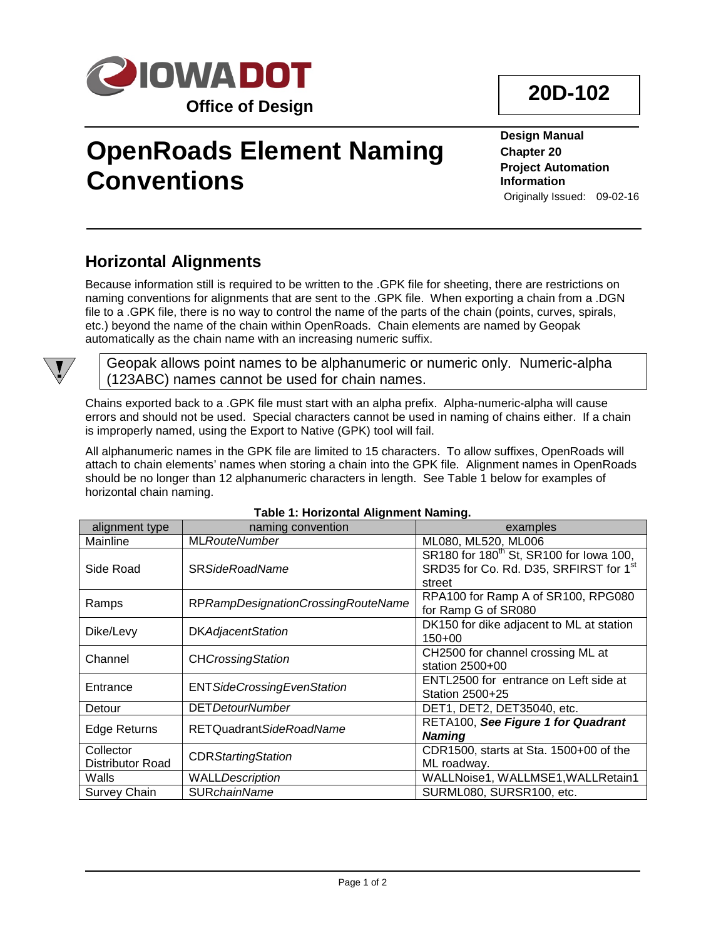

# **OpenRoads Element Naming Conventions**

**Design Manual Chapter 20 Project Automation Information** Originally Issued: 09-02-16

### **Horizontal Alignments**

Because information still is required to be written to the .GPK file for sheeting, there are restrictions on naming conventions for alignments that are sent to the .GPK file. When exporting a chain from a .DGN file to a .GPK file, there is no way to control the name of the parts of the chain (points, curves, spirals, etc.) beyond the name of the chain within OpenRoads. Chain elements are named by Geopak automatically as the chain name with an increasing numeric suffix.



Geopak allows point names to be alphanumeric or numeric only. Numeric-alpha (123ABC) names cannot be used for chain names.

Chains exported back to a .GPK file must start with an alpha prefix. Alpha-numeric-alpha will cause errors and should not be used. Special characters cannot be used in naming of chains either. If a chain is improperly named, using the Export to Native (GPK) tool will fail.

All alphanumeric names in the GPK file are limited to 15 characters. To allow suffixes, OpenRoads will attach to chain elements' names when storing a chain into the GPK file. Alignment names in OpenRoads should be no longer than 12 alphanumeric characters in length. See Table 1 below for examples of horizontal chain naming.

| alignment type                       | naming convention                  | examples                                                                                                |
|--------------------------------------|------------------------------------|---------------------------------------------------------------------------------------------------------|
| Mainline                             | <b>MLRouteNumber</b>               | ML080, ML520, ML006                                                                                     |
| Side Road                            | <b>SR SideRoadName</b>             | SR180 for 180 <sup>th</sup> St, SR100 for lowa 100,<br>SRD35 for Co. Rd. D35, SRFIRST for 1st<br>street |
| Ramps                                | RPRampDesignationCrossingRouteName | RPA100 for Ramp A of SR100, RPG080<br>for Ramp G of SR080                                               |
| Dike/Levy                            | <b>DKAdjacentStation</b>           | DK150 for dike adjacent to ML at station<br>$150+00$                                                    |
| Channel                              | <b>CHCrossingStation</b>           | CH2500 for channel crossing ML at<br>station 2500+00                                                    |
| Entrance                             | <b>ENTSideCrossingEvenStation</b>  | ENTL2500 for entrance on Left side at<br>Station 2500+25                                                |
| Detour                               | <b>DET</b> DetourNumber            | DET1, DET2, DET35040, etc.                                                                              |
| Edge Returns                         | RETQuadrantSideRoadName            | RETA100, See Figure 1 for Quadrant<br><b>Naming</b>                                                     |
| Collector<br><b>Distributor Road</b> | <b>CDR Starting Station</b>        | CDR1500, starts at Sta. 1500+00 of the<br>ML roadway.                                                   |
| Walls                                | <b>WALLDescription</b>             | WALLNoise1, WALLMSE1, WALLRetain1                                                                       |
| Survey Chain                         | <b>SURchainName</b>                | SURML080, SURSR100, etc.                                                                                |

### **Table 1: Horizontal Alignment Naming.**

## **20D-102**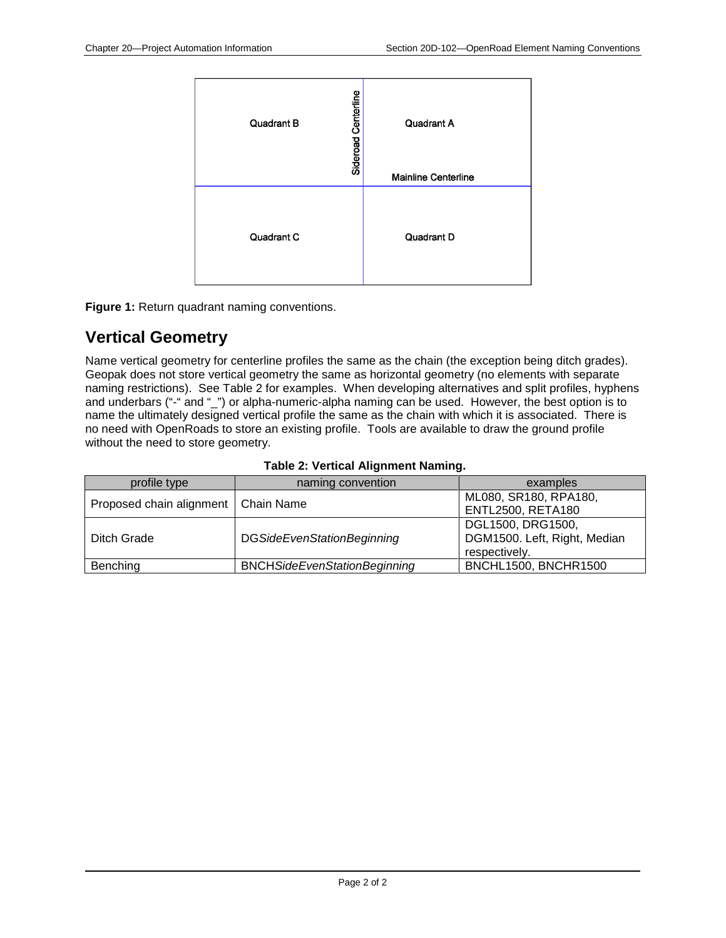| Sideroad Centerline | Quadrant A                 |
|---------------------|----------------------------|
| Quadrant B          | <b>Mainline Centerline</b> |
| Quadrant C          | Quadrant D                 |

**Figure 1:** Return quadrant naming conventions.

## **Vertical Geometry**

Name vertical geometry for centerline profiles the same as the chain (the exception being ditch grades). Geopak does not store vertical geometry the same as horizontal geometry (no elements with separate naming restrictions). See Table 2 for examples. When developing alternatives and split profiles, hyphens and underbars ("-" and "\_") or alpha-numeric-alpha naming can be used. However, the best option is to name the ultimately designed vertical profile the same as the chain with which it is associated. There is no need with OpenRoads to store an existing profile. Tools are available to draw the ground profile without the need to store geometry.

| profile type                          | naming convention                   | examples                     |
|---------------------------------------|-------------------------------------|------------------------------|
| Proposed chain alignment   Chain Name |                                     | ML080, SR180, RPA180,        |
|                                       |                                     | <b>ENTL2500, RETA180</b>     |
|                                       |                                     | DGL1500, DRG1500,            |
| Ditch Grade                           | <b>DGSideEvenStationBeginning</b>   | DGM1500. Left, Right, Median |
|                                       |                                     | respectively.                |
| Benching                              | <b>BNCHSideEvenStationBeginning</b> | <b>BNCHL1500, BNCHR1500</b>  |

#### **Table 2: Vertical Alignment Naming.**